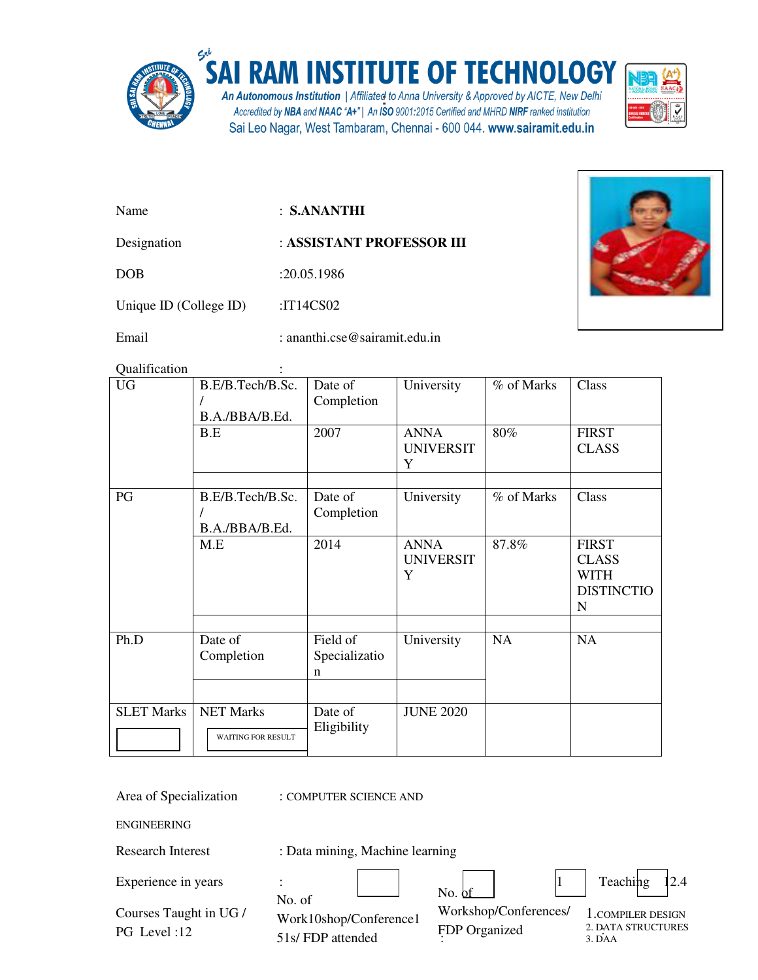

## $\sum_{i=1}^{S_{\text{c}}^{+}}$ SAI RAM INSTITUTE OF TECHNOLOGY

An Autonomous Institution | Affiliated to Anna University & Approved by AICTE, New Delhi Accredited by NBA and NAAC "A+" | An ISO 9001:2015 Certified and MHRD NIRF ranked institution Sai Leo Nagar, West Tambaram, Chennai - 600 044. www.sairamit.edu.in



Name : **S.ANANTHI** 

Designation : **ASSISTANT PROFESSOR III** 

DOB :20.05.1986

Unique ID (College ID) :IT14CS02

Email : ananthi.cse@sairamit.edu.in

Qualification :

| <b>UG</b>         | B.E/B.Tech/B.Sc.<br>B.A./BBA/B.Ed.            | Date of<br>Completion                    | University                           | % of Marks | Class                                                                 |
|-------------------|-----------------------------------------------|------------------------------------------|--------------------------------------|------------|-----------------------------------------------------------------------|
|                   | B.E                                           | 2007                                     | <b>ANNA</b><br><b>UNIVERSIT</b><br>Y | 80%        | <b>FIRST</b><br><b>CLASS</b>                                          |
| PG                | B.E/B.Tech/B.Sc.<br>B.A./BBA/B.Ed.            | Date of<br>Completion                    | University                           | % of Marks | Class                                                                 |
|                   | M.E                                           | 2014                                     | <b>ANNA</b><br><b>UNIVERSIT</b><br>Y | 87.8%      | <b>FIRST</b><br><b>CLASS</b><br><b>WITH</b><br><b>DISTINCTIO</b><br>N |
| Ph.D              | Date of<br>Completion                         | Field of<br>Specializatio<br>$\mathbf n$ | University                           | <b>NA</b>  | <b>NA</b>                                                             |
| <b>SLET Marks</b> | <b>NET Marks</b><br><b>WAITING FOR RESULT</b> | Date of<br>Eligibility                   | <b>JUNE 2020</b>                     |            |                                                                       |

Area of Specialization : COMPUTER SCIENCE AND

ENGINEERING

Research Interest : Data mining, Machine learning

| Experience in years                   | No. of                                     | No. bf                                 | Teaching 12.4                                                 |
|---------------------------------------|--------------------------------------------|----------------------------------------|---------------------------------------------------------------|
| Courses Taught in UG /<br>PG Level:12 | Work10shop/Conference1<br>51s/FDP attended | Workshop/Conferences/<br>FDP Organized | 1. COMPILER DESIGN<br>2. DATA STRUCTURES<br>3. <sub>DAA</sub> |

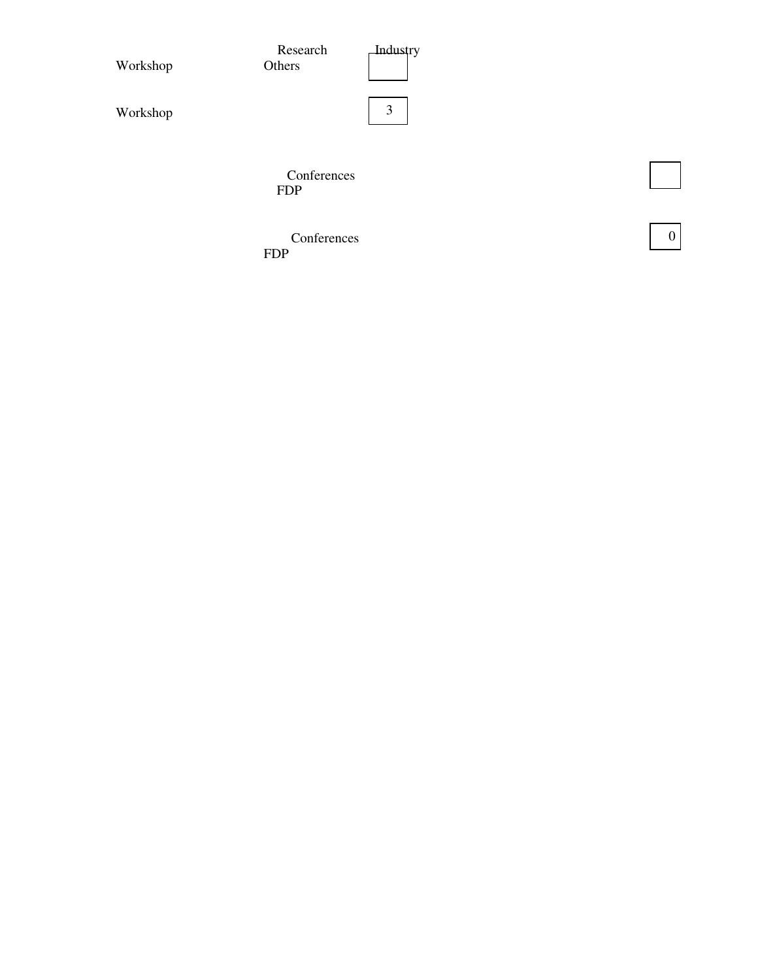| Workshop | Research<br>Others        | <b>Industry</b> |  |
|----------|---------------------------|-----------------|--|
| Workshop |                           | 3               |  |
|          | Conferences<br><b>FDP</b> |                 |  |

 $\boxed{0}$ 

**Conferences** FDP